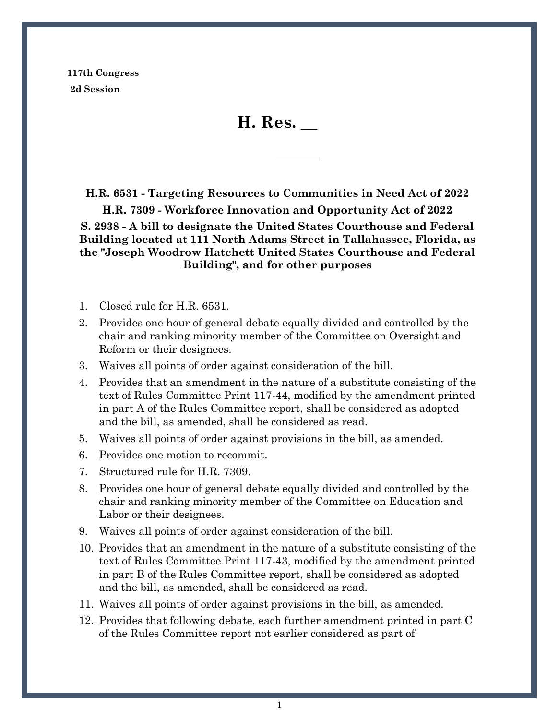**117th Congress 2d Session**

**H. Res. \_\_**

**H.R. 6531 - Targeting Resources to Communities in Need Act of 2022 H.R. 7309 - Workforce Innovation and Opportunity Act of 2022 S. 2938 - A bill to designate the United States Courthouse and Federal Building located at 111 North Adams Street in Tallahassee, Florida, as the "Joseph Woodrow Hatchett United States Courthouse and Federal Building", and for other purposes**

- 1. Closed rule for H.R. 6531.
- 2. Provides one hour of general debate equally divided and controlled by the chair and ranking minority member of the Committee on Oversight and Reform or their designees.
- 3. Waives all points of order against consideration of the bill.
- 4. Provides that an amendment in the nature of a substitute consisting of the text of Rules Committee Print 117-44, modified by the amendment printed in part A of the Rules Committee report, shall be considered as adopted and the bill, as amended, shall be considered as read.
- 5. Waives all points of order against provisions in the bill, as amended.
- 6. Provides one motion to recommit.
- 7. Structured rule for H.R. 7309.
- 8. Provides one hour of general debate equally divided and controlled by the chair and ranking minority member of the Committee on Education and Labor or their designees.
- 9. Waives all points of order against consideration of the bill.
- 10. Provides that an amendment in the nature of a substitute consisting of the text of Rules Committee Print 117-43, modified by the amendment printed in part B of the Rules Committee report, shall be considered as adopted and the bill, as amended, shall be considered as read.
- 11. Waives all points of order against provisions in the bill, as amended.
- 12. Provides that following debate, each further amendment printed in part C of the Rules Committee report not earlier considered as part of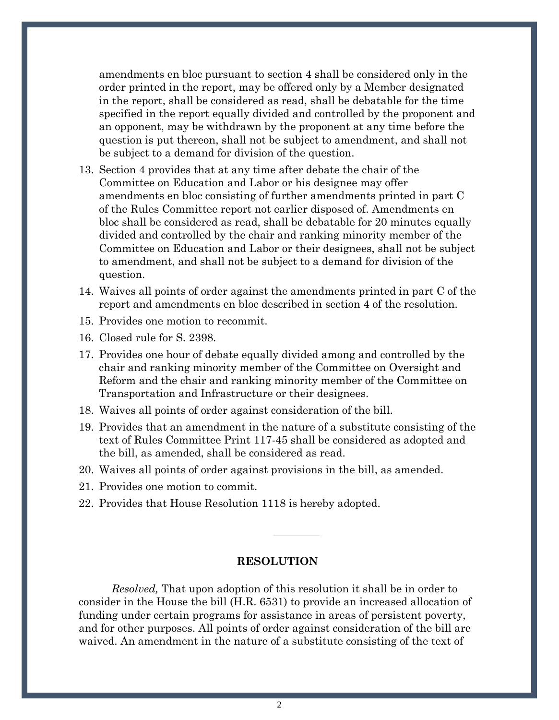amendments en bloc pursuant to section 4 shall be considered only in the order printed in the report, may be offered only by a Member designated in the report, shall be considered as read, shall be debatable for the time specified in the report equally divided and controlled by the proponent and an opponent, may be withdrawn by the proponent at any time before the question is put thereon, shall not be subject to amendment, and shall not be subject to a demand for division of the question.

- 13. Section 4 provides that at any time after debate the chair of the Committee on Education and Labor or his designee may offer amendments en bloc consisting of further amendments printed in part C of the Rules Committee report not earlier disposed of. Amendments en bloc shall be considered as read, shall be debatable for 20 minutes equally divided and controlled by the chair and ranking minority member of the Committee on Education and Labor or their designees, shall not be subject to amendment, and shall not be subject to a demand for division of the question.
- 14. Waives all points of order against the amendments printed in part C of the report and amendments en bloc described in section 4 of the resolution.
- 15. Provides one motion to recommit.
- 16. Closed rule for S. 2398.
- 17. Provides one hour of debate equally divided among and controlled by the chair and ranking minority member of the Committee on Oversight and Reform and the chair and ranking minority member of the Committee on Transportation and Infrastructure or their designees.
- 18. Waives all points of order against consideration of the bill.
- 19. Provides that an amendment in the nature of a substitute consisting of the text of Rules Committee Print 117-45 shall be considered as adopted and the bill, as amended, shall be considered as read.
- 20. Waives all points of order against provisions in the bill, as amended.
- 21. Provides one motion to commit.
- 22. Provides that House Resolution 1118 is hereby adopted.

## **RESOLUTION**

*Resolved,* That upon adoption of this resolution it shall be in order to consider in the House the bill (H.R. 6531) to provide an increased allocation of funding under certain programs for assistance in areas of persistent poverty, and for other purposes. All points of order against consideration of the bill are waived. An amendment in the nature of a substitute consisting of the text of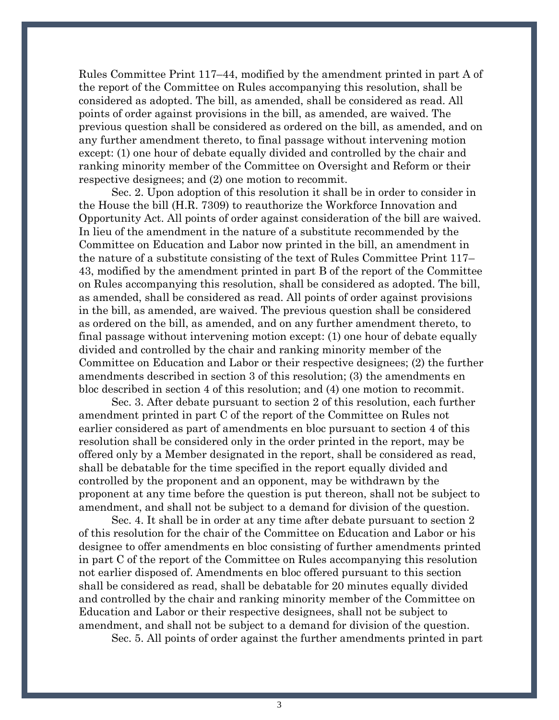Rules Committee Print 117–44, modified by the amendment printed in part A of the report of the Committee on Rules accompanying this resolution, shall be considered as adopted. The bill, as amended, shall be considered as read. All points of order against provisions in the bill, as amended, are waived. The previous question shall be considered as ordered on the bill, as amended, and on any further amendment thereto, to final passage without intervening motion except: (1) one hour of debate equally divided and controlled by the chair and ranking minority member of the Committee on Oversight and Reform or their respective designees; and (2) one motion to recommit.

Sec. 2. Upon adoption of this resolution it shall be in order to consider in the House the bill (H.R. 7309) to reauthorize the Workforce Innovation and Opportunity Act. All points of order against consideration of the bill are waived. In lieu of the amendment in the nature of a substitute recommended by the Committee on Education and Labor now printed in the bill, an amendment in the nature of a substitute consisting of the text of Rules Committee Print 117– 43, modified by the amendment printed in part B of the report of the Committee on Rules accompanying this resolution, shall be considered as adopted. The bill, as amended, shall be considered as read. All points of order against provisions in the bill, as amended, are waived. The previous question shall be considered as ordered on the bill, as amended, and on any further amendment thereto, to final passage without intervening motion except: (1) one hour of debate equally divided and controlled by the chair and ranking minority member of the Committee on Education and Labor or their respective designees; (2) the further amendments described in section 3 of this resolution; (3) the amendments en bloc described in section 4 of this resolution; and (4) one motion to recommit.

Sec. 3. After debate pursuant to section 2 of this resolution, each further amendment printed in part C of the report of the Committee on Rules not earlier considered as part of amendments en bloc pursuant to section 4 of this resolution shall be considered only in the order printed in the report, may be offered only by a Member designated in the report, shall be considered as read, shall be debatable for the time specified in the report equally divided and controlled by the proponent and an opponent, may be withdrawn by the proponent at any time before the question is put thereon, shall not be subject to amendment, and shall not be subject to a demand for division of the question.

Sec. 4. It shall be in order at any time after debate pursuant to section 2 of this resolution for the chair of the Committee on Education and Labor or his designee to offer amendments en bloc consisting of further amendments printed in part C of the report of the Committee on Rules accompanying this resolution not earlier disposed of. Amendments en bloc offered pursuant to this section shall be considered as read, shall be debatable for 20 minutes equally divided and controlled by the chair and ranking minority member of the Committee on Education and Labor or their respective designees, shall not be subject to amendment, and shall not be subject to a demand for division of the question.

Sec. 5. All points of order against the further amendments printed in part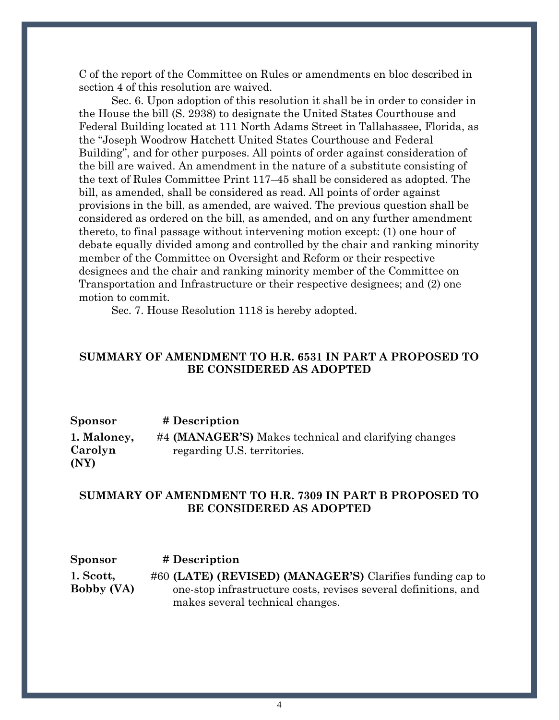C of the report of the Committee on Rules or amendments en bloc described in section 4 of this resolution are waived.

Sec. 6. Upon adoption of this resolution it shall be in order to consider in the House the bill (S. 2938) to designate the United States Courthouse and Federal Building located at 111 North Adams Street in Tallahassee, Florida, as the ''Joseph Woodrow Hatchett United States Courthouse and Federal Building'', and for other purposes. All points of order against consideration of the bill are waived. An amendment in the nature of a substitute consisting of the text of Rules Committee Print 117–45 shall be considered as adopted. The bill, as amended, shall be considered as read. All points of order against provisions in the bill, as amended, are waived. The previous question shall be considered as ordered on the bill, as amended, and on any further amendment thereto, to final passage without intervening motion except: (1) one hour of debate equally divided among and controlled by the chair and ranking minority member of the Committee on Oversight and Reform or their respective designees and the chair and ranking minority member of the Committee on Transportation and Infrastructure or their respective designees; and (2) one motion to commit.

Sec. 7. House Resolution 1118 is hereby adopted.

## **SUMMARY OF AMENDMENT TO H.R. 6531 IN PART A PROPOSED TO BE CONSIDERED AS ADOPTED**

| Sponsor     | # Description                                         |
|-------------|-------------------------------------------------------|
| 1. Maloney, | #4 (MANAGER'S) Makes technical and clarifying changes |
| Carolyn     | regarding U.S. territories.                           |
| (NY)        |                                                       |

## **SUMMARY OF AMENDMENT TO H.R. 7309 IN PART B PROPOSED TO BE CONSIDERED AS ADOPTED**

**Sponsor # Description [1. Scott,](https://amendments-rules.house.gov/amendments/Mgr_001_xml220516084837065.pdf)  [Bobby \(VA\)](https://amendments-rules.house.gov/amendments/Mgr_001_xml220516084837065.pdf)** #60 **(LATE) (REVISED) (MANAGER'S)** Clarifies funding cap to one-stop infrastructure costs, revises several definitions, and makes several technical changes.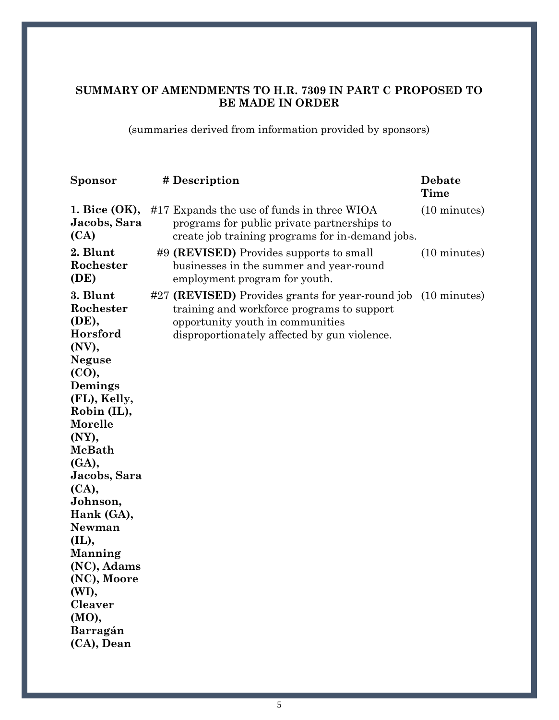## **SUMMARY OF AMENDMENTS TO H.R. 7309 IN PART C PROPOSED TO BE MADE IN ORDER**

(summaries derived from information provided by sponsors)

| <b>Sponsor</b>                                                                                                                                                                                                                                                                                                                              | # Description                                                                                                                                                                                   | Debate<br><b>Time</b>  |
|---------------------------------------------------------------------------------------------------------------------------------------------------------------------------------------------------------------------------------------------------------------------------------------------------------------------------------------------|-------------------------------------------------------------------------------------------------------------------------------------------------------------------------------------------------|------------------------|
| 1. Bice $(OK),$<br>Jacobs, Sara<br>(CA)                                                                                                                                                                                                                                                                                                     | #17 Expands the use of funds in three WIOA<br>programs for public private partnerships to<br>create job training programs for in-demand jobs.                                                   | $(10 \text{ minutes})$ |
| 2. Blunt<br>Rochester<br>(DE)                                                                                                                                                                                                                                                                                                               | #9 (REVISED) Provides supports to small<br>businesses in the summer and year-round<br>employment program for youth.                                                                             | $(10 \text{ minutes})$ |
| 3. Blunt<br>Rochester<br>(DE),<br>Horsford<br>(NV),<br><b>Neguse</b><br>(CO),<br>Demings<br>(FL), Kelly,<br>Robin (IL),<br>Morelle<br>(NY),<br>McBath<br>(GA),<br>Jacobs, Sara<br>(CA),<br>Johnson,<br>Hank (GA),<br>Newman<br>(IL),<br>Manning<br>(NC), Adams<br>(NC), Moore<br>(WI),<br><b>Cleaver</b><br>(MO),<br>Barragán<br>(CA), Dean | #27 (REVISED) Provides grants for year-round job (10 minutes)<br>training and workforce programs to support<br>opportunity youth in communities<br>disproportionately affected by gun violence. |                        |
|                                                                                                                                                                                                                                                                                                                                             |                                                                                                                                                                                                 |                        |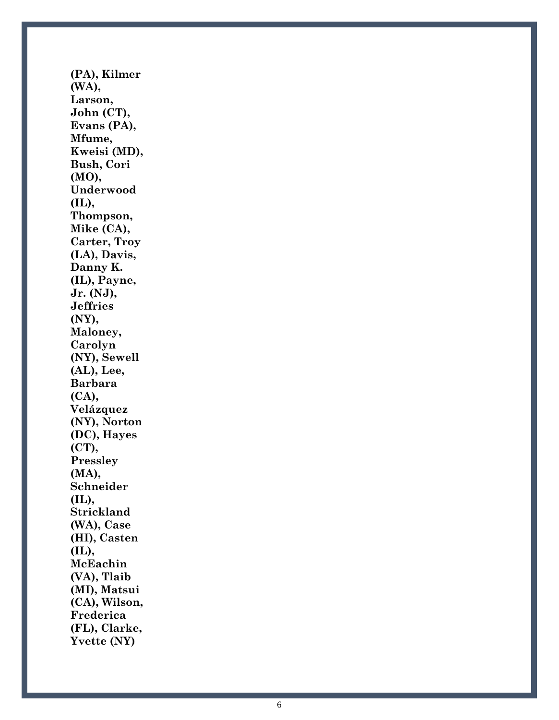**[\(PA\), Kilmer](https://amendments-rules.house.gov/amendments/BLUNTR_088_xml220513210649751.pdf)  [\(WA\),](https://amendments-rules.house.gov/amendments/BLUNTR_088_xml220513210649751.pdf)  [Larson,](https://amendments-rules.house.gov/amendments/BLUNTR_088_xml220513210649751.pdf)  [John \(CT\),](https://amendments-rules.house.gov/amendments/BLUNTR_088_xml220513210649751.pdf)  [Evans \(PA\),](https://amendments-rules.house.gov/amendments/BLUNTR_088_xml220513210649751.pdf)  [Mfume,](https://amendments-rules.house.gov/amendments/BLUNTR_088_xml220513210649751.pdf)  [Kweisi \(MD\),](https://amendments-rules.house.gov/amendments/BLUNTR_088_xml220513210649751.pdf)  [Bush, Cori](https://amendments-rules.house.gov/amendments/BLUNTR_088_xml220513210649751.pdf)  [\(MO\),](https://amendments-rules.house.gov/amendments/BLUNTR_088_xml220513210649751.pdf)  [Underwood](https://amendments-rules.house.gov/amendments/BLUNTR_088_xml220513210649751.pdf)  [\(IL\), Thompson,](https://amendments-rules.house.gov/amendments/BLUNTR_088_xml220513210649751.pdf)  [Mike \(CA\),](https://amendments-rules.house.gov/amendments/BLUNTR_088_xml220513210649751.pdf)  [Carter, Troy](https://amendments-rules.house.gov/amendments/BLUNTR_088_xml220513210649751.pdf)  [\(LA\), Davis,](https://amendments-rules.house.gov/amendments/BLUNTR_088_xml220513210649751.pdf)  [Danny K.](https://amendments-rules.house.gov/amendments/BLUNTR_088_xml220513210649751.pdf)  [\(IL\), Payne,](https://amendments-rules.house.gov/amendments/BLUNTR_088_xml220513210649751.pdf)  [Jr. \(NJ\),](https://amendments-rules.house.gov/amendments/BLUNTR_088_xml220513210649751.pdf)  [Jeffries](https://amendments-rules.house.gov/amendments/BLUNTR_088_xml220513210649751.pdf)  [\(NY\),](https://amendments-rules.house.gov/amendments/BLUNTR_088_xml220513210649751.pdf)  [Maloney,](https://amendments-rules.house.gov/amendments/BLUNTR_088_xml220513210649751.pdf)  [Carolyn](https://amendments-rules.house.gov/amendments/BLUNTR_088_xml220513210649751.pdf)  [\(NY\), Sewell](https://amendments-rules.house.gov/amendments/BLUNTR_088_xml220513210649751.pdf)  [\(AL\), Lee,](https://amendments-rules.house.gov/amendments/BLUNTR_088_xml220513210649751.pdf)  [Barbara](https://amendments-rules.house.gov/amendments/BLUNTR_088_xml220513210649751.pdf)  [\(CA\),](https://amendments-rules.house.gov/amendments/BLUNTR_088_xml220513210649751.pdf)  [Velázquez](https://amendments-rules.house.gov/amendments/BLUNTR_088_xml220513210649751.pdf)  [\(NY\), Norton](https://amendments-rules.house.gov/amendments/BLUNTR_088_xml220513210649751.pdf)  [\(DC\), Hayes](https://amendments-rules.house.gov/amendments/BLUNTR_088_xml220513210649751.pdf)  [\(CT\),](https://amendments-rules.house.gov/amendments/BLUNTR_088_xml220513210649751.pdf)  [Pressley](https://amendments-rules.house.gov/amendments/BLUNTR_088_xml220513210649751.pdf)  [\(MA\),](https://amendments-rules.house.gov/amendments/BLUNTR_088_xml220513210649751.pdf)  [Schneider](https://amendments-rules.house.gov/amendments/BLUNTR_088_xml220513210649751.pdf)  [\(IL\),](https://amendments-rules.house.gov/amendments/BLUNTR_088_xml220513210649751.pdf)  [Strickland](https://amendments-rules.house.gov/amendments/BLUNTR_088_xml220513210649751.pdf)  [\(WA\), Case](https://amendments-rules.house.gov/amendments/BLUNTR_088_xml220513210649751.pdf)  [\(HI\), Casten \(IL\),](https://amendments-rules.house.gov/amendments/BLUNTR_088_xml220513210649751.pdf)  [McEachin](https://amendments-rules.house.gov/amendments/BLUNTR_088_xml220513210649751.pdf)  [\(VA\), Tlaib](https://amendments-rules.house.gov/amendments/BLUNTR_088_xml220513210649751.pdf)  [\(MI\), Matsui](https://amendments-rules.house.gov/amendments/BLUNTR_088_xml220513210649751.pdf)  [\(CA\), Wilson,](https://amendments-rules.house.gov/amendments/BLUNTR_088_xml220513210649751.pdf)  [Frederica](https://amendments-rules.house.gov/amendments/BLUNTR_088_xml220513210649751.pdf)  [\(FL\), Clarke,](https://amendments-rules.house.gov/amendments/BLUNTR_088_xml220513210649751.pdf)  [Yvette \(NY\)](https://amendments-rules.house.gov/amendments/BLUNTR_088_xml220513210649751.pdf)**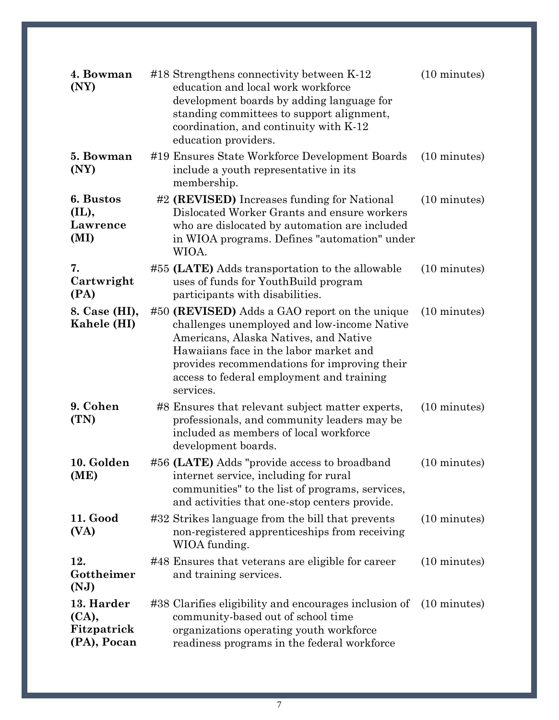| 4. Bowman<br>(NY)                                 | #18 Strengthens connectivity between K-12<br>education and local work workforce<br>development boards by adding language for<br>standing committees to support alignment,<br>coordination, and continuity with K-12<br>education providers.                                               | $(10 \text{ minutes})$ |
|---------------------------------------------------|-------------------------------------------------------------------------------------------------------------------------------------------------------------------------------------------------------------------------------------------------------------------------------------------|------------------------|
| 5. Bowman<br>(NY)                                 | #19 Ensures State Workforce Development Boards<br>include a youth representative in its<br>membership.                                                                                                                                                                                    | (10 minutes)           |
| 6. Bustos<br>(IL),<br>Lawrence<br>(MI)            | #2 (REVISED) Increases funding for National<br>Dislocated Worker Grants and ensure workers<br>who are dislocated by automation are included<br>in WIOA programs. Defines "automation" under<br>WIOA.                                                                                      | $(10 \text{ minutes})$ |
| 7.<br>Cartwright<br>(PA)                          | #55 (LATE) Adds transportation to the allowable<br>uses of funds for YouthBuild program<br>participants with disabilities.                                                                                                                                                                | $(10 \text{ minutes})$ |
| 8. Case (HI),<br>Kahele (HI)                      | #50 (REVISED) Adds a GAO report on the unique<br>challenges unemployed and low-income Native<br>Americans, Alaska Natives, and Native<br>Hawaiians face in the labor market and<br>provides recommendations for improving their<br>access to federal employment and training<br>services. | $(10 \text{ minutes})$ |
| 9. Cohen<br>(TN)                                  | #8 Ensures that relevant subject matter experts,<br>professionals, and community leaders may be<br>included as members of local workforce<br>development boards.                                                                                                                          | $(10 \text{ minutes})$ |
| 10. Golden<br>(ME)                                | #56 (LATE) Adds "provide access to broadband<br>internet service, including for rural<br>communities" to the list of programs, services,<br>and activities that one-stop centers provide.                                                                                                 | $(10 \text{ minutes})$ |
| 11. Good<br>(VA)                                  | #32 Strikes language from the bill that prevents<br>non-registered apprenticeships from receiving<br>WIOA funding.                                                                                                                                                                        | $(10 \text{ minutes})$ |
| 12.<br>Gottheimer<br>(NJ)                         | #48 Ensures that veterans are eligible for career<br>and training services.                                                                                                                                                                                                               | $(10 \text{ minutes})$ |
| 13. Harder<br>(CA),<br>Fitzpatrick<br>(PA), Pocan | #38 Clarifies eligibility and encourages inclusion of<br>community-based out of school time<br>organizations operating youth workforce<br>readiness programs in the federal workforce                                                                                                     | $(10 \text{ minutes})$ |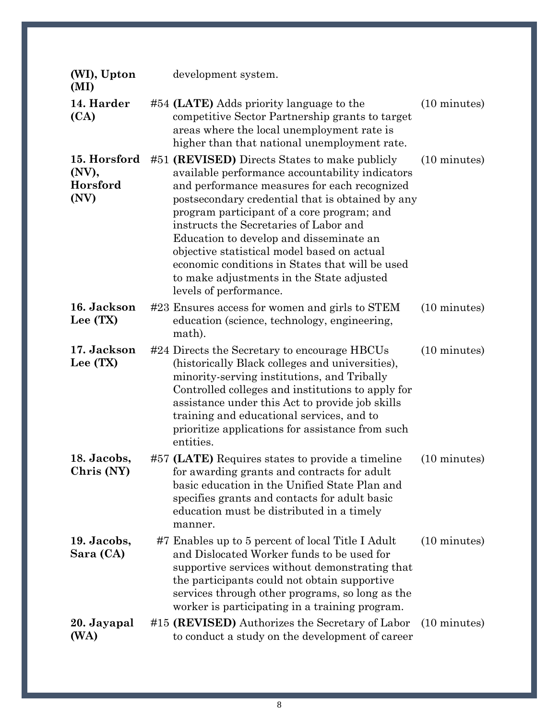| (WI), Upton<br>(MI)                       | development system.                                                                                                                                                                                                                                                                                                                                                                                                                                                                                              |                        |
|-------------------------------------------|------------------------------------------------------------------------------------------------------------------------------------------------------------------------------------------------------------------------------------------------------------------------------------------------------------------------------------------------------------------------------------------------------------------------------------------------------------------------------------------------------------------|------------------------|
| 14. Harder<br>(CA)                        | #54 (LATE) Adds priority language to the<br>competitive Sector Partnership grants to target<br>areas where the local unemployment rate is<br>higher than that national unemployment rate.                                                                                                                                                                                                                                                                                                                        | $(10 \text{ minutes})$ |
| 15. Horsford<br>(NV),<br>Horsford<br>(NV) | #51 (REVISED) Directs States to make publicly<br>available performance accountability indicators<br>and performance measures for each recognized<br>postsecondary credential that is obtained by any<br>program participant of a core program; and<br>instructs the Secretaries of Labor and<br>Education to develop and disseminate an<br>objective statistical model based on actual<br>economic conditions in States that will be used<br>to make adjustments in the State adjusted<br>levels of performance. | $(10 \text{ minutes})$ |
| 16. Jackson<br>Lee (TX)                   | #23 Ensures access for women and girls to STEM<br>education (science, technology, engineering,<br>math).                                                                                                                                                                                                                                                                                                                                                                                                         | $(10 \text{ minutes})$ |
| 17. Jackson<br>Lee (TX)                   | #24 Directs the Secretary to encourage HBCUs<br>(historically Black colleges and universities),<br>minority-serving institutions, and Tribally<br>Controlled colleges and institutions to apply for<br>assistance under this Act to provide job skills<br>training and educational services, and to<br>prioritize applications for assistance from such<br>entities.                                                                                                                                             | $(10 \text{ minutes})$ |
| 18. Jacobs,<br>Chris (NY)                 | #57 (LATE) Requires states to provide a timeline<br>for awarding grants and contracts for adult<br>basic education in the Unified State Plan and<br>specifies grants and contacts for adult basic<br>education must be distributed in a timely<br>manner.                                                                                                                                                                                                                                                        | $(10 \text{ minutes})$ |
| 19. Jacobs,<br>Sara (CA)                  | #7 Enables up to 5 percent of local Title I Adult<br>and Dislocated Worker funds to be used for<br>supportive services without demonstrating that<br>the participants could not obtain supportive<br>services through other programs, so long as the<br>worker is participating in a training program.                                                                                                                                                                                                           | $(10 \text{ minutes})$ |
| 20. Jayapal<br>(WA)                       | #15 (REVISED) Authorizes the Secretary of Labor<br>to conduct a study on the development of career                                                                                                                                                                                                                                                                                                                                                                                                               | $(10 \text{ minutes})$ |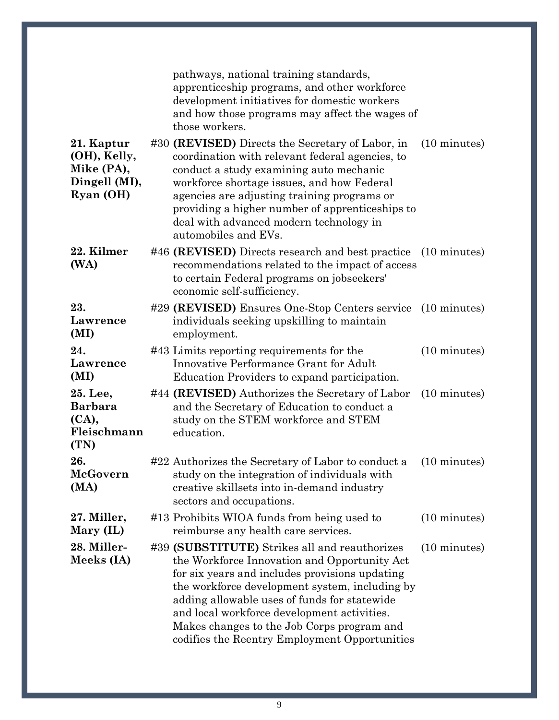|                                                                        | pathways, national training standards,<br>apprenticeship programs, and other workforce<br>development initiatives for domestic workers<br>and how those programs may affect the wages of<br>those workers.                                                                                                                                                                                                                |
|------------------------------------------------------------------------|---------------------------------------------------------------------------------------------------------------------------------------------------------------------------------------------------------------------------------------------------------------------------------------------------------------------------------------------------------------------------------------------------------------------------|
| 21. Kaptur<br>(OH), Kelly,<br>Mike (PA),<br>Dingell (MI),<br>Ryan (OH) | #30 (REVISED) Directs the Secretary of Labor, in<br>$(10 \text{ minutes})$<br>coordination with relevant federal agencies, to<br>conduct a study examining auto mechanic<br>workforce shortage issues, and how Federal<br>agencies are adjusting training programs or<br>providing a higher number of apprenticeships to<br>deal with advanced modern technology in<br>automobiles and EVs.                               |
| 22. Kilmer<br>(WA)                                                     | #46 (REVISED) Directs research and best practice<br>$(10 \text{ minutes})$<br>recommendations related to the impact of access<br>to certain Federal programs on jobseekers'<br>economic self-sufficiency.                                                                                                                                                                                                                 |
| 23.<br>Lawrence<br>(MI)                                                | #29 (REVISED) Ensures One-Stop Centers service (10 minutes)<br>individuals seeking upskilling to maintain<br>employment.                                                                                                                                                                                                                                                                                                  |
| 24.<br>Lawrence<br>(MI)                                                | #43 Limits reporting requirements for the<br>$(10 \text{ minutes})$<br>Innovative Performance Grant for Adult<br>Education Providers to expand participation.                                                                                                                                                                                                                                                             |
| 25. Lee,<br><b>Barbara</b><br>(CA),<br>Fleischmann<br>(TN)             | #44 (REVISED) Authorizes the Secretary of Labor<br>$(10 \text{ minutes})$<br>and the Secretary of Education to conduct a<br>study on the STEM workforce and STEM<br>education.                                                                                                                                                                                                                                            |
| 26.<br>McGovern<br>(MA)                                                | #22 Authorizes the Secretary of Labor to conduct a<br>$(10 \text{ minutes})$<br>study on the integration of individuals with<br>creative skillsets into in-demand industry<br>sectors and occupations.                                                                                                                                                                                                                    |
| 27. Miller,<br>Mary (IL)                                               | #13 Prohibits WIOA funds from being used to<br>$(10 \text{ minutes})$<br>reimburse any health care services.                                                                                                                                                                                                                                                                                                              |
| 28. Miller-<br>Meeks (IA)                                              | #39 (SUBSTITUTE) Strikes all and reauthorizes<br>$(10 \text{ minutes})$<br>the Workforce Innovation and Opportunity Act<br>for six years and includes provisions updating<br>the workforce development system, including by<br>adding allowable uses of funds for statewide<br>and local workforce development activities.<br>Makes changes to the Job Corps program and<br>codifies the Reentry Employment Opportunities |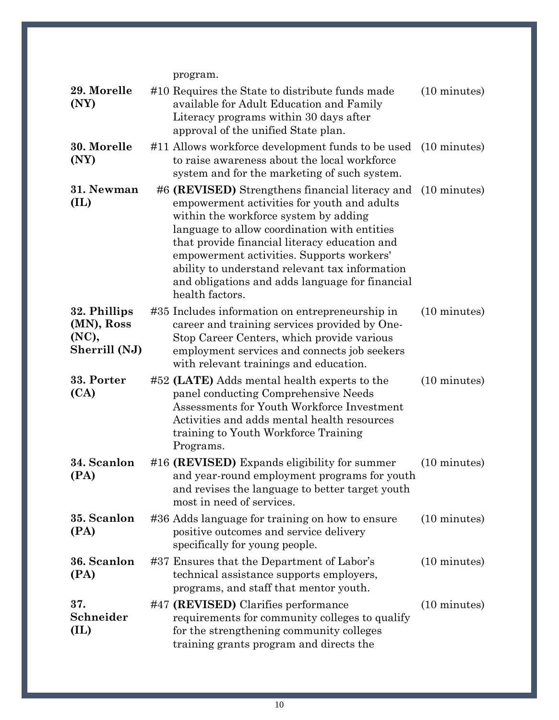program.

| 29. Morelle<br>(NY)                                  | #10 Requires the State to distribute funds made<br>$(10 \text{ minutes})$<br>available for Adult Education and Family<br>Literacy programs within 30 days after<br>approval of the unified State plan.                                                                                                                                                                                                                     |
|------------------------------------------------------|----------------------------------------------------------------------------------------------------------------------------------------------------------------------------------------------------------------------------------------------------------------------------------------------------------------------------------------------------------------------------------------------------------------------------|
| 30. Morelle<br>(NY)                                  | #11 Allows workforce development funds to be used<br>$(10 \text{ minutes})$<br>to raise awareness about the local workforce<br>system and for the marketing of such system.                                                                                                                                                                                                                                                |
| 31. Newman<br>(IL)                                   | #6 (REVISED) Strengthens financial literacy and (10 minutes)<br>empowerment activities for youth and adults<br>within the workforce system by adding<br>language to allow coordination with entities<br>that provide financial literacy education and<br>empowerment activities. Supports workers'<br>ability to understand relevant tax information<br>and obligations and adds language for financial<br>health factors. |
| 32. Phillips<br>(MN), Ross<br>(NC),<br>Sherrill (NJ) | #35 Includes information on entrepreneurship in<br>$(10 \text{ minutes})$<br>career and training services provided by One-<br>Stop Career Centers, which provide various<br>employment services and connects job seekers<br>with relevant trainings and education.                                                                                                                                                         |
| 33. Porter<br>(CA)                                   | #52 (LATE) Adds mental health experts to the<br>$(10 \text{ minutes})$<br>panel conducting Comprehensive Needs<br>Assessments for Youth Workforce Investment<br>Activities and adds mental health resources<br>training to Youth Workforce Training<br>Programs.                                                                                                                                                           |
| 34. Scanlon<br>(PA)                                  | #16 (REVISED) Expands eligibility for summer<br>(10 minutes)<br>and year-round employment programs for youth<br>and revises the language to better target youth<br>most in need of services.                                                                                                                                                                                                                               |
| 35. Scanlon<br>(PA)                                  | #36 Adds language for training on how to ensure<br>$(10 \text{ minutes})$<br>positive outcomes and service delivery<br>specifically for young people.                                                                                                                                                                                                                                                                      |
| 36. Scanlon<br>(PA)                                  | $(10 \text{ minutes})$<br>#37 Ensures that the Department of Labor's<br>technical assistance supports employers,<br>programs, and staff that mentor youth.                                                                                                                                                                                                                                                                 |
| 37.<br>Schneider<br>(IL)                             | #47 (REVISED) Clarifies performance<br>$(10 \text{ minutes})$<br>requirements for community colleges to qualify<br>for the strengthening community colleges<br>training grants program and directs the                                                                                                                                                                                                                     |